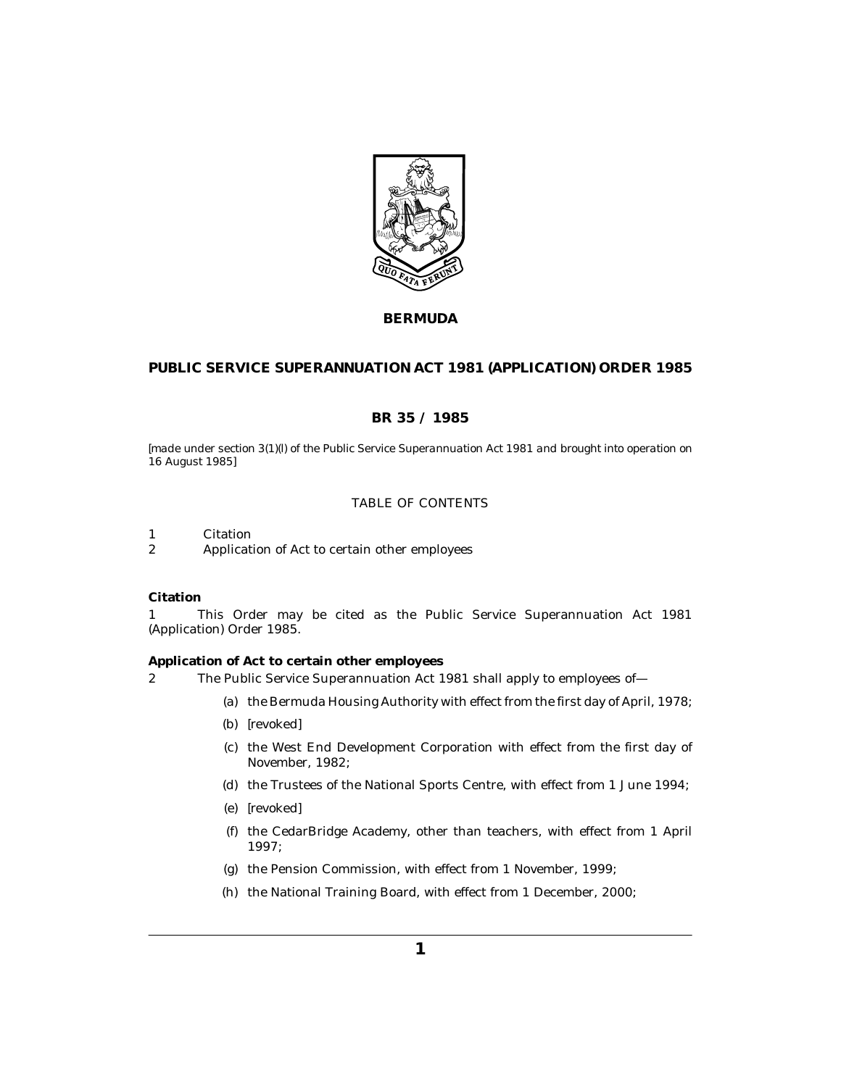

# **BERMUDA**

# **PUBLIC SERVICE SUPERANNUATION ACT 1981 (APPLICATION) ORDER 1985**

## **BR 35 / 1985**

*[made under section 3(1)(l) of the Public Service Superannuation Act 1981 and brought into operation on 16 August 1985]*

## TABLE OF CONTENTS

Citation 1

Application of Act to certain other employees 2

## **Citation**

This Order may be cited as the Public Service Superannuation Act 1981 (Application) Order 1985. 1

**Application of Act to certain other employees**

The Public Service Superannuation Act 1981 shall apply to employees of— 2

- (a) the Bermuda Housing Authority with effect from the first day of April, 1978;
- *[revoked]* (b)
- (c) the West End Development Corporation with effect from the first day of November, 1982;
- (d) the Trustees of the National Sports Centre, with effect from 1 June 1994;
- *[revoked]* (e)
- (f) the CedarBridge Academy, other than teachers, with effect from 1 April 1997;
- (g) the Pension Commission, with effect from 1 November, 1999;
- (h) the National Training Board, with effect from 1 December, 2000;